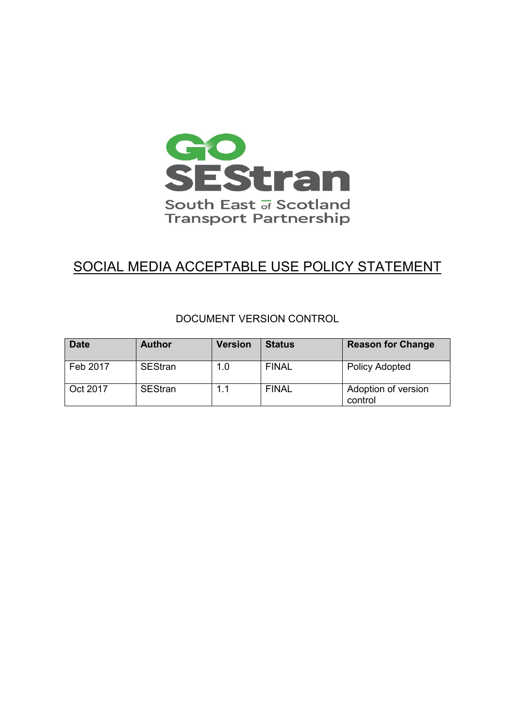

# SOCIAL MEDIA ACCEPTABLE USE POLICY STATEMENT

## DOCUMENT VERSION CONTROL

| <b>Date</b> | <b>Author</b>  | <b>Version</b> | <b>Status</b> | <b>Reason for Change</b>       |
|-------------|----------------|----------------|---------------|--------------------------------|
| Feb 2017    | <b>SEStran</b> | 1.0            | <b>FINAL</b>  | <b>Policy Adopted</b>          |
| Oct 2017    | <b>SEStran</b> | 1.1            | <b>FINAL</b>  | Adoption of version<br>control |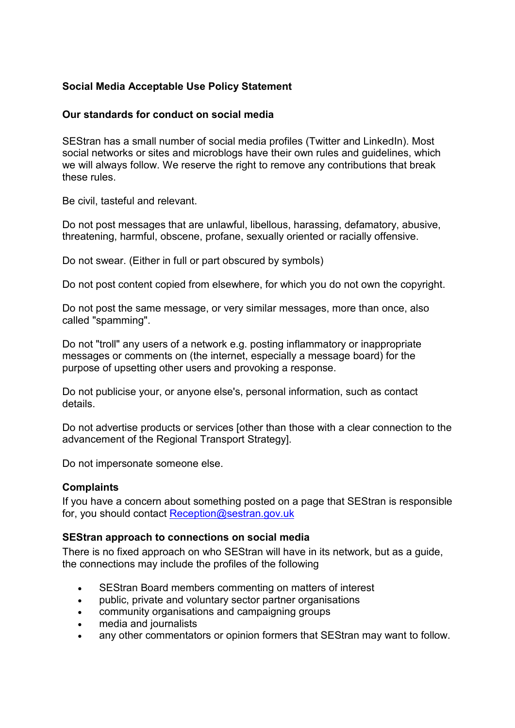## **Social Media Acceptable Use Policy Statement**

### **Our standards for conduct on social media**

SEStran has a small number of social media profiles (Twitter and LinkedIn). Most social networks or sites and microblogs have their own rules and guidelines, which we will always follow. We reserve the right to remove any contributions that break these rules.

Be civil, tasteful and relevant.

Do not post messages that are unlawful, libellous, harassing, defamatory, abusive, threatening, harmful, obscene, profane, sexually oriented or racially offensive.

Do not swear. (Either in full or part obscured by symbols)

Do not post content copied from elsewhere, for which you do not own the copyright.

Do not post the same message, or very similar messages, more than once, also called "spamming".

Do not "troll" any users of a network e.g. posting inflammatory or inappropriate messages or comments on (the internet, especially a message board) for the purpose of upsetting other users and provoking a response.

Do not publicise your, or anyone else's, personal information, such as contact details.

Do not advertise products or services [other than those with a clear connection to the advancement of the Regional Transport Strategy].

Do not impersonate someone else.

#### **Complaints**

If you have a concern about something posted on a page that SEStran is responsible for, you should contact [Reception@sestran.gov.uk](mailto:Reception@sestran.gov.uk)

#### **SEStran approach to connections on social media**

There is no fixed approach on who SEStran will have in its network, but as a guide, the connections may include the profiles of the following

- SEStran Board members commenting on matters of interest
- public, private and voluntary sector partner organisations
- community organisations and campaigning groups
- media and journalists
- any other commentators or opinion formers that SEStran may want to follow.